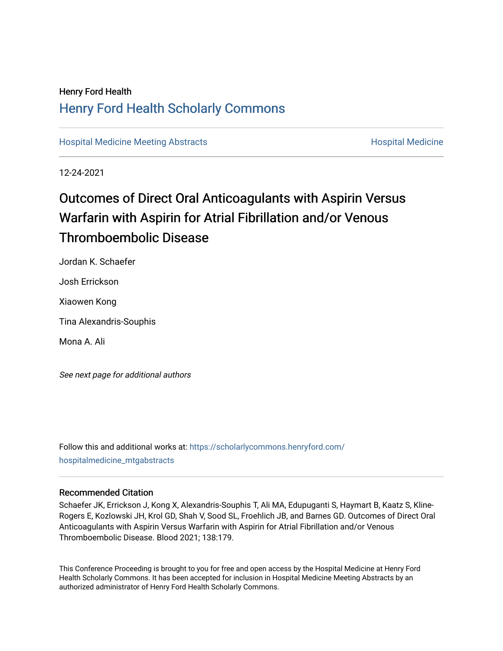## Henry Ford Health [Henry Ford Health Scholarly Commons](https://scholarlycommons.henryford.com/)

[Hospital Medicine Meeting Abstracts](https://scholarlycommons.henryford.com/hospitalmedicine_mtgabstracts) **Hospital Medicine** Hospital Medicine

12-24-2021

# Outcomes of Direct Oral Anticoagulants with Aspirin Versus Warfarin with Aspirin for Atrial Fibrillation and/or Venous Thromboembolic Disease

Jordan K. Schaefer Josh Errickson Xiaowen Kong Tina Alexandris-Souphis Mona A. Ali

See next page for additional authors

Follow this and additional works at: [https://scholarlycommons.henryford.com/](https://scholarlycommons.henryford.com/hospitalmedicine_mtgabstracts?utm_source=scholarlycommons.henryford.com%2Fhospitalmedicine_mtgabstracts%2F32&utm_medium=PDF&utm_campaign=PDFCoverPages) [hospitalmedicine\\_mtgabstracts](https://scholarlycommons.henryford.com/hospitalmedicine_mtgabstracts?utm_source=scholarlycommons.henryford.com%2Fhospitalmedicine_mtgabstracts%2F32&utm_medium=PDF&utm_campaign=PDFCoverPages)

### Recommended Citation

Schaefer JK, Errickson J, Kong X, Alexandris-Souphis T, Ali MA, Edupuganti S, Haymart B, Kaatz S, Kline-Rogers E, Kozlowski JH, Krol GD, Shah V, Sood SL, Froehlich JB, and Barnes GD. Outcomes of Direct Oral Anticoagulants with Aspirin Versus Warfarin with Aspirin for Atrial Fibrillation and/or Venous Thromboembolic Disease. Blood 2021; 138:179.

This Conference Proceeding is brought to you for free and open access by the Hospital Medicine at Henry Ford Health Scholarly Commons. It has been accepted for inclusion in Hospital Medicine Meeting Abstracts by an authorized administrator of Henry Ford Health Scholarly Commons.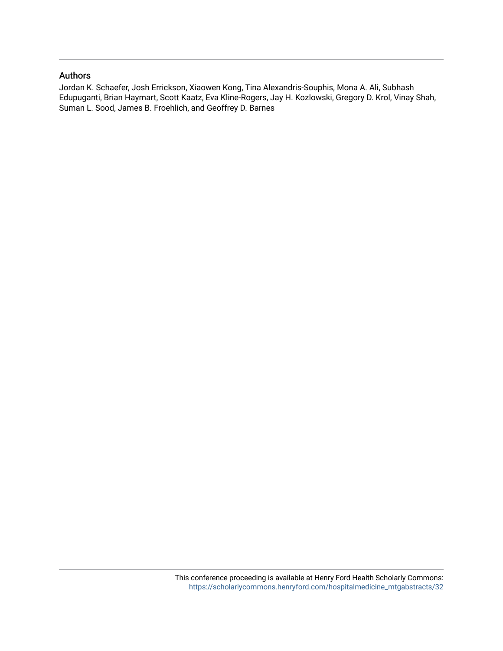### Authors

Jordan K. Schaefer, Josh Errickson, Xiaowen Kong, Tina Alexandris-Souphis, Mona A. Ali, Subhash Edupuganti, Brian Haymart, Scott Kaatz, Eva Kline-Rogers, Jay H. Kozlowski, Gregory D. Krol, Vinay Shah, Suman L. Sood, James B. Froehlich, and Geoffrey D. Barnes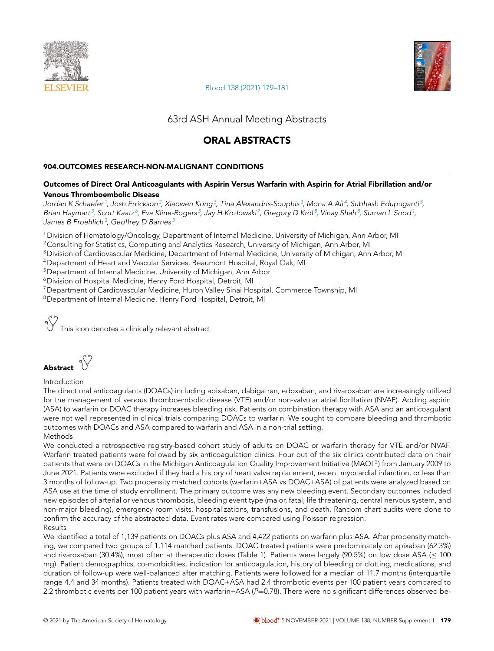



[Blood 138 \(2021\) 179–181](https://doi.org/10.1182/blood-2021-146294)

63rd ASH Annual Meeting Abstracts

### ORAL ABSTRACTS

### 904.OUTCOMES RESEARCH-NON-MALIGNANT CONDITIONS

#### Outcomes of Direct Oral Anticoagulants with Aspirin Versus Warfarin with Aspirin for Atrial Fibrillation and/or Venous Thromboembolic Disease

Jordan K Schaefer <sup>1</sup>, Josh Errickson<sup>2</sup>, Xiaowen Kong<sup>3</sup>, Tina Alexandris-Souphis<sup>3</sup>, Mona A Ali<sup>4</sup>, Subhash Edupuganti<sup>5</sup>, Brian Haymart<sup>3</sup>, Scott Kaatz<sup>6</sup>, Eva Kline-Rogers<sup>3</sup>, Jay H Kozlowski<sup>7</sup>, Gregory D Krol<sup>8</sup>, Vinay Shah<sup>8</sup>, Suman L Sood<sup>1</sup>, James B Froehlich $^3$ , Geoffrey D Barnes $^3$ 

<sup>1</sup>Division of Hematology/Oncology, Department of Internal Medicine, University of Michigan, Ann Arbor, MI

<sup>2</sup> Consulting for Statistics, Computing and Analytics Research, University of Michigan, Ann Arbor, MI

<sup>3</sup>Division of Cardiovascular Medicine, Department of Internal Medicine, University of Michigan, Ann Arbor, MI

<sup>4</sup>Department of Heart and Vascular Services, Beaumont Hospital, Royal Oak, MI

<sup>5</sup> Department of Internal Medicine, University of Michigan, Ann Arbor

<sup>6</sup>Division of Hospital Medicine, Henry Ford Hospital, Detroit, MI

<sup>7</sup>Department of Cardiovascular Medicine, Huron Valley Sinai Hospital, Commerce Township, MI

<sup>8</sup>Department of Internal Medicine, Henry Ford Hospital, Detroit, MI

This icon denotes a clinically relevant abstract

Abstract  $\sqrt[6]{x}$ 

### Introduction

The direct oral anticoagulants (DOACs) including apixaban, dabigatran, edoxaban, and rivaroxaban are increasingly utilized for the management of venous thromboembolic disease (VTE) and/or non-valvular atrial fibrillation (NVAF). Adding aspirin (ASA) to warfarin or DOAC therapy increases bleeding risk. Patients on combination therapy with ASA and an anticoagulant were not well represented in clinical trials comparing DOACs to warfarin. We sought to compare bleeding and thrombotic outcomes with DOACs and ASA compared to warfarin and ASA in a non-trial setting. Methods

We conducted a retrospective registry-based cohort study of adults on DOAC or warfarin therapy for VTE and/or NVAF. Warfarin treated patients were followed by six anticoagulation clinics. Four out of the six clinics contributed data on their patients that were on DOACs in the Michigan Anticoagulation Quality Improvement Initiative (MAQI <sup>2</sup>) from January 2009 to June 2021. Patients were excluded if they had a history of heart valve replacement, recent myocardial infarction, or less than 3 months of follow-up. Two propensity matched cohorts (warfarin+ASA vs DOAC+ASA) of patients were analyzed based on ASA use at the time of study enrollment. The primary outcome was any new bleeding event. Secondary outcomes included new episodes of arterial or venous thrombosis, bleeding event type (major, fatal, life threatening, central nervous system, and non-major bleeding), emergency room visits, hospitalizations, transfusions, and death. Random chart audits were done to confirm the accuracy of the abstracted data. Event rates were compared using Poisson regression. Results

We identified a total of 1,139 patients on DOACs plus ASA and 4,422 patients on warfarin plus ASA. After propensity matching, we compared two groups of 1,114 matched patients. DOAC treated patients were predominately on apixaban (62.3%) and rivaroxaban (30.4%), most often at therapeutic doses (Table 1). Patients were largely (90.5%) on low dose ASA (≤ 100 mg). Patient demographics, co-morbidities, indication for anticoagulation, history of bleeding or clotting, medications, and duration of follow-up were well-balanced after matching. Patients were followed for a median of 11.7 months (interquartile range 4.4 and 34 months). Patients treated with DOAC+ASA had 2.4 thrombotic events per 100 patient years compared to 2.2 thrombotic events per 100 patient years with warfarin+ASA ( $P=0.78$ ). There were no significant differences observed be-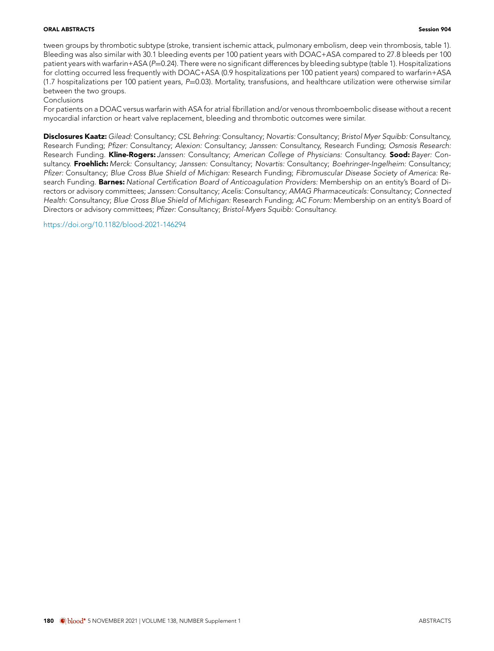#### **ORAL ABSTRACTS** Session 904

tween groups by thrombotic subtype (stroke, transient ischemic attack, pulmonary embolism, deep vein thrombosis, table 1). Bleeding was also similar with 30.1 bleeding events per 100 patient years with DOAC+ASA compared to 27.8 bleeds per 100 patient years with warfarin+ASA (P=0.24). There were no significant differences by bleeding subtype (table 1). Hospitalizations for clotting occurred less frequently with DOAC+ASA (0.9 hospitalizations per 100 patient years) compared to warfarin+ASA  $(1.7$  hospitalizations per 100 patient years,  $P=0.03$ ). Mortality, transfusions, and healthcare utilization were otherwise similar between the two groups.

Conclusions

For patients on a DOAC versus warfarin with ASA for atrial fibrillation and/or venous thromboembolic disease without a recent myocardial infarction or heart valve replacement, bleeding and thrombotic outcomes were similar.

Disclosures Kaatz: Gilead: Consultancy; CSL Behring: Consultancy; Novartis: Consultancy; Bristol Myer Squibb: Consultancy, Research Funding; Pfizer: Consultancy; Alexion: Consultancy; Janssen: Consultancy, Research Funding; Osmosis Research: Research Funding. Kline-Rogers: Janssen: Consultancy; American College of Physicians: Consultancy. Sood: Bayer: Consultancy. Froehlich: Merck: Consultancy; Janssen: Consultancy; Novartis: Consultancy; Boehringer-Ingelheim: Consultancy; Pfizer: Consultancy; Blue Cross Blue Shield of Michigan: Research Funding; Fibromuscular Disease Society of America: Research Funding. Barnes: National Certification Board of Anticoagulation Providers: Membership on an entity's Board of Directors or advisory committees; Janssen: Consultancy; Acelis: Consultancy; AMAG Pharmaceuticals: Consultancy; Connected Health: Consultancy; Blue Cross Blue Shield of Michigan: Research Funding; AC Forum: Membership on an entity's Board of Directors or advisory committees; Pfizer: Consultancy; Bristol-Myers Squibb: Consultancy.

<https://doi.org/10.1182/blood-2021-146294>